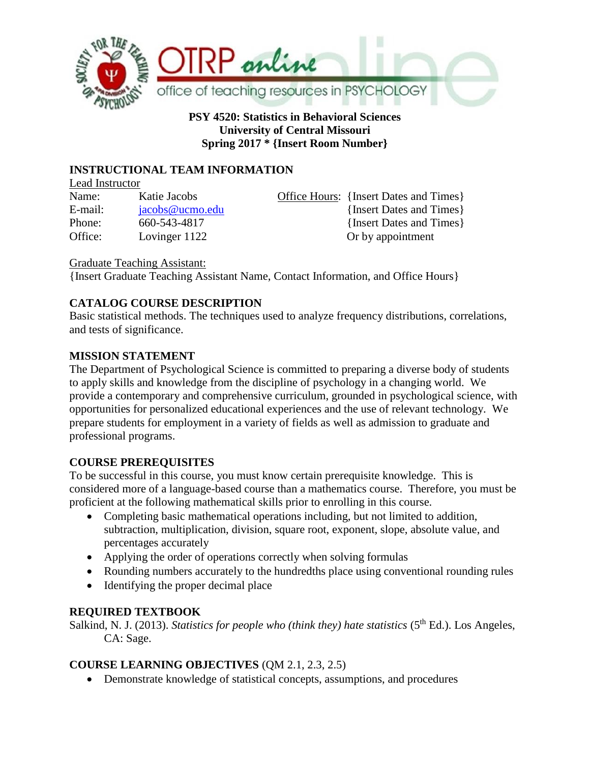

**PSY 4520: Statistics in Behavioral Sciences University of Central Missouri Spring 2017 \* {Insert Room Number}**

# **INSTRUCTIONAL TEAM INFORMATION**

Lead Instructor Name: Katie Jacobs Office Hours: {Insert Dates and Times} Office: Lovinger 1122 Or by appointment

E-mail: [jacobs@ucmo.edu](mailto:jacobs@ucmo.edu) {Insert Dates and Times} Phone: 660-543-4817 {Insert Dates and Times}

Graduate Teaching Assistant:

{Insert Graduate Teaching Assistant Name, Contact Information, and Office Hours}

# **CATALOG COURSE DESCRIPTION**

Basic statistical methods. The techniques used to analyze frequency distributions, correlations, and tests of significance.

# **MISSION STATEMENT**

The Department of Psychological Science is committed to preparing a diverse body of students to apply skills and knowledge from the discipline of psychology in a changing world. We provide a contemporary and comprehensive curriculum, grounded in psychological science, with opportunities for personalized educational experiences and the use of relevant technology. We prepare students for employment in a variety of fields as well as admission to graduate and professional programs.

# **COURSE PREREQUISITES**

To be successful in this course, you must know certain prerequisite knowledge. This is considered more of a language-based course than a mathematics course. Therefore, you must be proficient at the following mathematical skills prior to enrolling in this course.

- Completing basic mathematical operations including, but not limited to addition, subtraction, multiplication, division, square root, exponent, slope, absolute value, and percentages accurately
- Applying the order of operations correctly when solving formulas
- Rounding numbers accurately to the hundredths place using conventional rounding rules
- Identifying the proper decimal place

# **REQUIRED TEXTBOOK**

Salkind, N. J. (2013). *Statistics for people who (think they) hate statistics* (5<sup>th</sup> Ed.). Los Angeles, CA: Sage.

# **COURSE LEARNING OBJECTIVES** (QM 2.1, 2.3, 2.5)

• Demonstrate knowledge of statistical concepts, assumptions, and procedures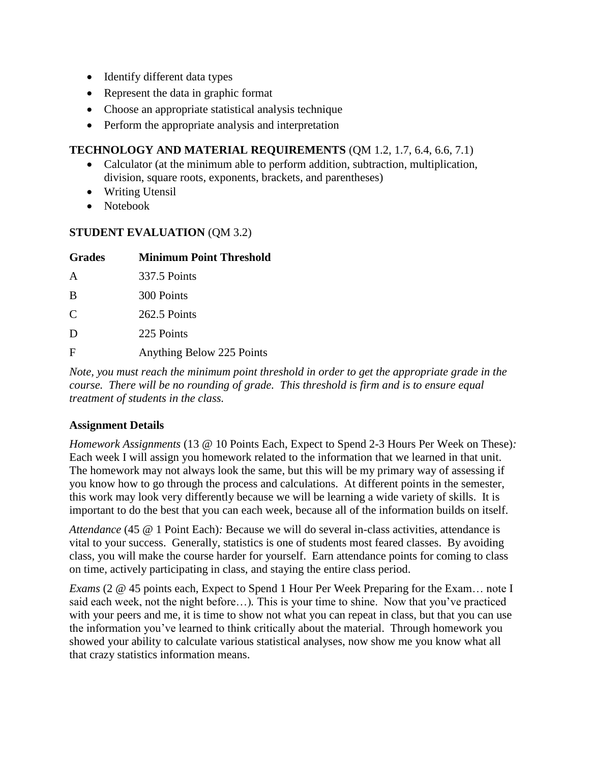- Identify different data types
- Represent the data in graphic format
- Choose an appropriate statistical analysis technique
- Perform the appropriate analysis and interpretation

# **TECHNOLOGY AND MATERIAL REQUIREMENTS** (QM 1.2, 1.7, 6.4, 6.6, 7.1)

- Calculator (at the minimum able to perform addition, subtraction, multiplication, division, square roots, exponents, brackets, and parentheses)
- Writing Utensil
- Notebook

# **STUDENT EVALUATION** (QM 3.2)

| <b>Grades</b> | <b>Minimum Point Threshold</b> |
|---------------|--------------------------------|
| A             | 337.5 Points                   |
| B             | 300 Points                     |
| C             | 262.5 Points                   |
| D             | 225 Points                     |
| F             | Anything Below 225 Points      |

*Note, you must reach the minimum point threshold in order to get the appropriate grade in the course. There will be no rounding of grade. This threshold is firm and is to ensure equal treatment of students in the class.* 

#### **Assignment Details**

*Homework Assignments* (13 @ 10 Points Each, Expect to Spend 2-3 Hours Per Week on These)*:*  Each week I will assign you homework related to the information that we learned in that unit. The homework may not always look the same, but this will be my primary way of assessing if you know how to go through the process and calculations. At different points in the semester, this work may look very differently because we will be learning a wide variety of skills. It is important to do the best that you can each week, because all of the information builds on itself.

*Attendance* (45 @ 1 Point Each)*:* Because we will do several in-class activities, attendance is vital to your success. Generally, statistics is one of students most feared classes. By avoiding class, you will make the course harder for yourself. Earn attendance points for coming to class on time, actively participating in class, and staying the entire class period.

*Exams* (2  $\omega$  45 points each, Expect to Spend 1 Hour Per Week Preparing for the Exam... note I said each week, not the night before…)*.* This is your time to shine. Now that you've practiced with your peers and me, it is time to show not what you can repeat in class, but that you can use the information you've learned to think critically about the material. Through homework you showed your ability to calculate various statistical analyses, now show me you know what all that crazy statistics information means.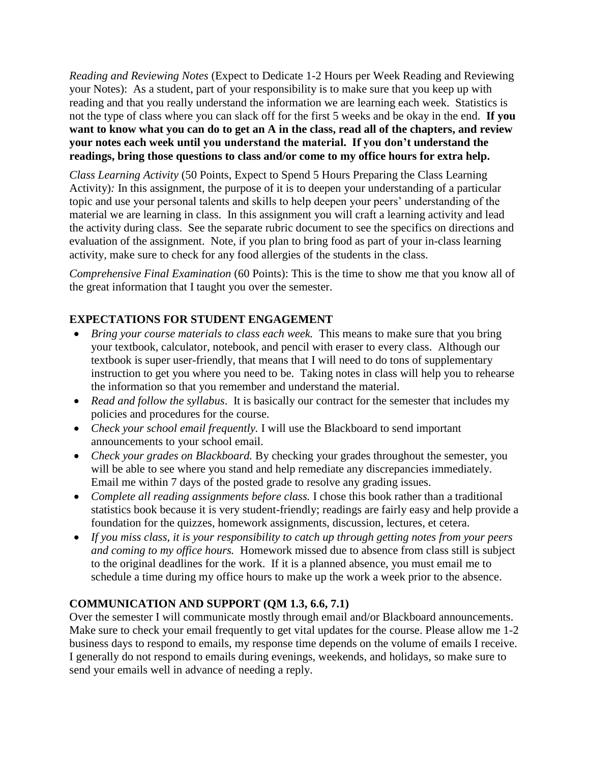*Reading and Reviewing Notes* (Expect to Dedicate 1-2 Hours per Week Reading and Reviewing your Notes): As a student, part of your responsibility is to make sure that you keep up with reading and that you really understand the information we are learning each week. Statistics is not the type of class where you can slack off for the first 5 weeks and be okay in the end. **If you want to know what you can do to get an A in the class, read all of the chapters, and review your notes each week until you understand the material. If you don't understand the readings, bring those questions to class and/or come to my office hours for extra help.** 

*Class Learning Activity* (50 Points, Expect to Spend 5 Hours Preparing the Class Learning Activity)*:* In this assignment, the purpose of it is to deepen your understanding of a particular topic and use your personal talents and skills to help deepen your peers' understanding of the material we are learning in class. In this assignment you will craft a learning activity and lead the activity during class. See the separate rubric document to see the specifics on directions and evaluation of the assignment. Note, if you plan to bring food as part of your in-class learning activity, make sure to check for any food allergies of the students in the class.

*Comprehensive Final Examination* (60 Points): This is the time to show me that you know all of the great information that I taught you over the semester.

# **EXPECTATIONS FOR STUDENT ENGAGEMENT**

- *Bring your course materials to class each week.* This means to make sure that you bring your textbook, calculator, notebook, and pencil with eraser to every class. Although our textbook is super user-friendly, that means that I will need to do tons of supplementary instruction to get you where you need to be. Taking notes in class will help you to rehearse the information so that you remember and understand the material.
- *Read and follow the syllabus*. It is basically our contract for the semester that includes my policies and procedures for the course.
- *Check your school email frequently.* I will use the Blackboard to send important announcements to your school email.
- *Check your grades on Blackboard.* By checking your grades throughout the semester, you will be able to see where you stand and help remediate any discrepancies immediately. Email me within 7 days of the posted grade to resolve any grading issues.
- *Complete all reading assignments before class.* I chose this book rather than a traditional statistics book because it is very student-friendly; readings are fairly easy and help provide a foundation for the quizzes, homework assignments, discussion, lectures, et cetera.
- *If you miss class, it is your responsibility to catch up through getting notes from your peers and coming to my office hours.* Homework missed due to absence from class still is subject to the original deadlines for the work. If it is a planned absence, you must email me to schedule a time during my office hours to make up the work a week prior to the absence.

# **COMMUNICATION AND SUPPORT (QM 1.3, 6.6, 7.1)**

Over the semester I will communicate mostly through email and/or Blackboard announcements. Make sure to check your email frequently to get vital updates for the course. Please allow me 1-2 business days to respond to emails, my response time depends on the volume of emails I receive. I generally do not respond to emails during evenings, weekends, and holidays, so make sure to send your emails well in advance of needing a reply.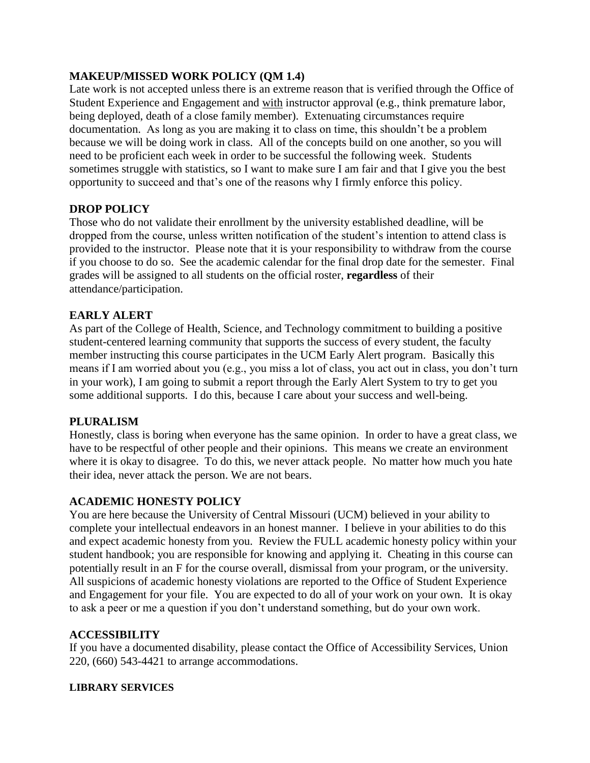# **MAKEUP/MISSED WORK POLICY (QM 1.4)**

Late work is not accepted unless there is an extreme reason that is verified through the Office of Student Experience and Engagement and with instructor approval (e.g., think premature labor, being deployed, death of a close family member). Extenuating circumstances require documentation. As long as you are making it to class on time, this shouldn't be a problem because we will be doing work in class. All of the concepts build on one another, so you will need to be proficient each week in order to be successful the following week. Students sometimes struggle with statistics, so I want to make sure I am fair and that I give you the best opportunity to succeed and that's one of the reasons why I firmly enforce this policy.

# **DROP POLICY**

Those who do not validate their enrollment by the university established deadline, will be dropped from the course, unless written notification of the student's intention to attend class is provided to the instructor. Please note that it is your responsibility to withdraw from the course if you choose to do so. See the academic calendar for the final drop date for the semester. Final grades will be assigned to all students on the official roster, **regardless** of their attendance/participation.

# **EARLY ALERT**

As part of the College of Health, Science, and Technology commitment to building a positive student-centered learning community that supports the success of every student, the faculty member instructing this course participates in the UCM Early Alert program. Basically this means if I am worried about you (e.g., you miss a lot of class, you act out in class, you don't turn in your work), I am going to submit a report through the Early Alert System to try to get you some additional supports. I do this, because I care about your success and well-being.

#### **PLURALISM**

Honestly, class is boring when everyone has the same opinion. In order to have a great class, we have to be respectful of other people and their opinions. This means we create an environment where it is okay to disagree. To do this, we never attack people. No matter how much you hate their idea, never attack the person. We are not bears.

#### **ACADEMIC HONESTY POLICY**

You are here because the University of Central Missouri (UCM) believed in your ability to complete your intellectual endeavors in an honest manner. I believe in your abilities to do this and expect academic honesty from you. Review the FULL academic honesty policy within your student handbook; you are responsible for knowing and applying it. Cheating in this course can potentially result in an F for the course overall, dismissal from your program, or the university. All suspicions of academic honesty violations are reported to the Office of Student Experience and Engagement for your file. You are expected to do all of your work on your own. It is okay to ask a peer or me a question if you don't understand something, but do your own work.

#### **ACCESSIBILITY**

If you have a documented disability, please contact the Office of Accessibility Services, Union 220, (660) 543-4421 to arrange accommodations.

#### **LIBRARY SERVICES**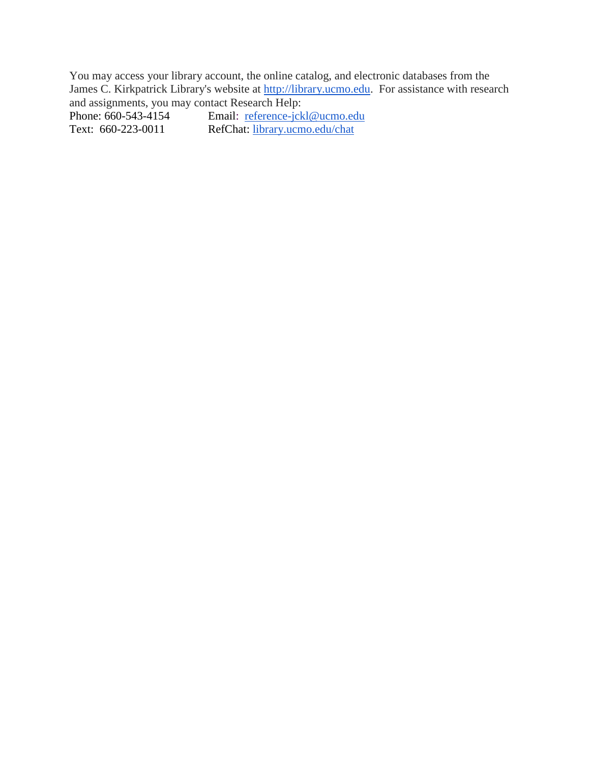You may access your library account, the online catalog, and electronic databases from the James C. Kirkpatrick Library's website at [http://library.ucmo.edu.](http://library.ucmo.edu/) For assistance with research and assignments, you may contact Research Help:<br>Phone: 660-543-4154 Email: reference-jck

Text: 660-223-0011 RefChat: [library.ucmo.edu/chat](http://library.ucmo.edu/chat)

Phone: 660-5154 Email: [reference-jckl@ucmo.edu](mailto:reference-jckl@ucmo.edu)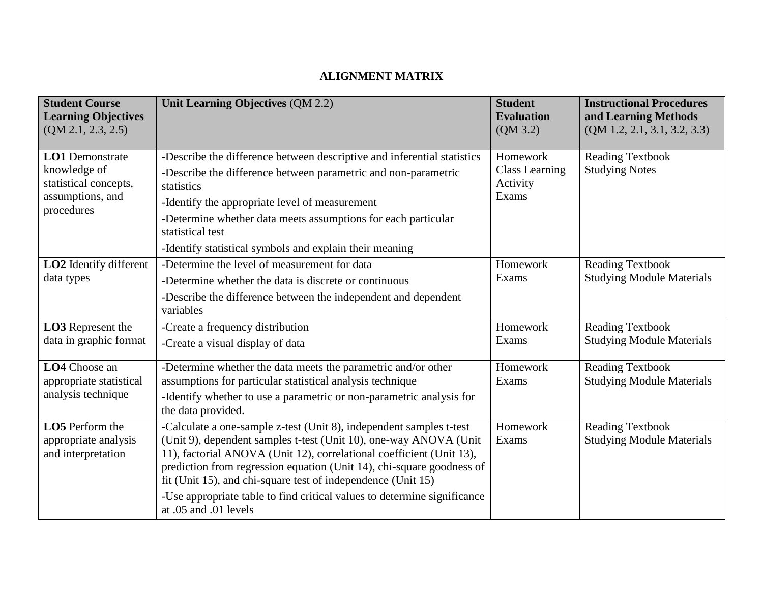# **ALIGNMENT MATRIX**

| <b>Student Course</b><br><b>Learning Objectives</b><br>(QM 2.1, 2.3, 2.5)                         | Unit Learning Objectives (QM 2.2)                                                                                                                                                                                                                                                                                                                                                                                                                              | <b>Student</b><br><b>Evaluation</b><br>(QM 3.2)        | <b>Instructional Procedures</b><br>and Learning Methods<br>(QM 1.2, 2.1, 3.1, 3.2, 3.3) |
|---------------------------------------------------------------------------------------------------|----------------------------------------------------------------------------------------------------------------------------------------------------------------------------------------------------------------------------------------------------------------------------------------------------------------------------------------------------------------------------------------------------------------------------------------------------------------|--------------------------------------------------------|-----------------------------------------------------------------------------------------|
| <b>LO1</b> Demonstrate<br>knowledge of<br>statistical concepts,<br>assumptions, and<br>procedures | -Describe the difference between descriptive and inferential statistics<br>-Describe the difference between parametric and non-parametric<br>statistics<br>-Identify the appropriate level of measurement<br>-Determine whether data meets assumptions for each particular<br>statistical test<br>-Identify statistical symbols and explain their meaning                                                                                                      | Homework<br><b>Class Learning</b><br>Activity<br>Exams | <b>Reading Textbook</b><br><b>Studying Notes</b>                                        |
| LO2 Identify different<br>data types                                                              | -Determine the level of measurement for data<br>-Determine whether the data is discrete or continuous<br>-Describe the difference between the independent and dependent<br>variables                                                                                                                                                                                                                                                                           | Homework<br>Exams                                      | <b>Reading Textbook</b><br><b>Studying Module Materials</b>                             |
| LO3 Represent the<br>data in graphic format                                                       | -Create a frequency distribution<br>-Create a visual display of data                                                                                                                                                                                                                                                                                                                                                                                           | Homework<br>Exams                                      | <b>Reading Textbook</b><br><b>Studying Module Materials</b>                             |
| LO4 Choose an<br>appropriate statistical<br>analysis technique                                    | -Determine whether the data meets the parametric and/or other<br>assumptions for particular statistical analysis technique<br>-Identify whether to use a parametric or non-parametric analysis for<br>the data provided.                                                                                                                                                                                                                                       | Homework<br>Exams                                      | <b>Reading Textbook</b><br><b>Studying Module Materials</b>                             |
| LO5 Perform the<br>appropriate analysis<br>and interpretation                                     | -Calculate a one-sample z-test (Unit 8), independent samples t-test<br>(Unit 9), dependent samples t-test (Unit 10), one-way ANOVA (Unit<br>11), factorial ANOVA (Unit 12), correlational coefficient (Unit 13),<br>prediction from regression equation (Unit 14), chi-square goodness of<br>fit (Unit 15), and chi-square test of independence (Unit 15)<br>-Use appropriate table to find critical values to determine significance<br>at .05 and .01 levels | Homework<br>Exams                                      | <b>Reading Textbook</b><br><b>Studying Module Materials</b>                             |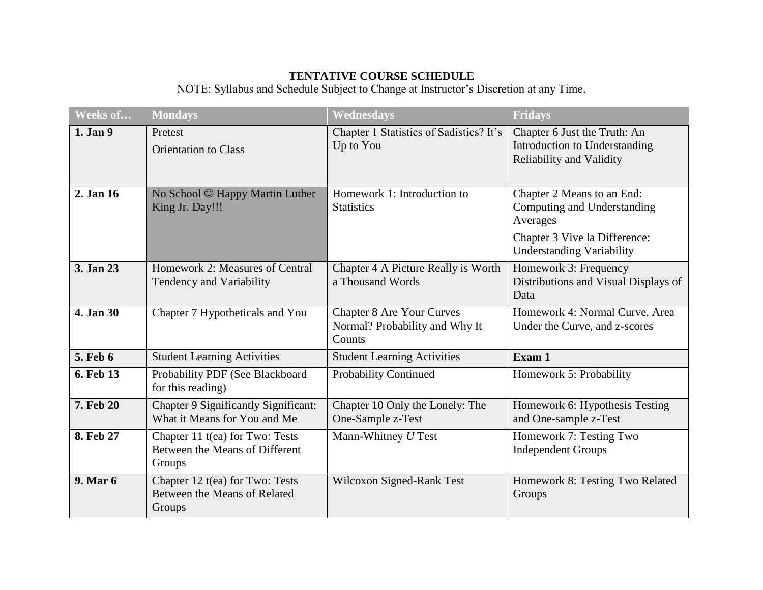# **TENTATIVE COURSE SCHEDULE**

NOTE: Syllabus and Schedule Subject to Change at Instructor's Discretion at any Time.

| Weeks of        | <b>Mondays</b>                                                              | <b>Wednesdays</b>                                                            | <b>Fridays</b>                                                                                         |
|-----------------|-----------------------------------------------------------------------------|------------------------------------------------------------------------------|--------------------------------------------------------------------------------------------------------|
| 1. Jan 9        | Pretest<br><b>Orientation to Class</b>                                      | Chapter 1 Statistics of Sadistics? It's<br>Up to You                         | Chapter 6 Just the Truth: An<br>Introduction to Understanding<br><b>Reliability and Validity</b>       |
| 2. Jan 16       | No School © Happy Martin Luther<br>King Jr. Day!!!                          | Homework 1: Introduction to<br><b>Statistics</b>                             | Chapter 2 Means to an End:<br>Computing and Understanding<br>Averages<br>Chapter 3 Vive la Difference: |
|                 |                                                                             |                                                                              | <b>Understanding Variability</b>                                                                       |
| 3. Jan 23       | Homework 2: Measures of Central<br>Tendency and Variability                 | Chapter 4 A Picture Really is Worth<br>a Thousand Words                      | Homework 3: Frequency<br>Distributions and Visual Displays of<br>Data                                  |
| 4. Jan 30       | Chapter 7 Hypotheticals and You                                             | <b>Chapter 8 Are Your Curves</b><br>Normal? Probability and Why It<br>Counts | Homework 4: Normal Curve, Area<br>Under the Curve, and z-scores                                        |
| <b>5. Feb 6</b> | <b>Student Learning Activities</b>                                          | <b>Student Learning Activities</b>                                           | Exam 1                                                                                                 |
| 6. Feb 13       | Probability PDF (See Blackboard<br>for this reading)                        | <b>Probability Continued</b>                                                 | Homework 5: Probability                                                                                |
| 7. Feb 20       | Chapter 9 Significantly Significant:<br>What it Means for You and Me        | Chapter 10 Only the Lonely: The<br>One-Sample z-Test                         | Homework 6: Hypothesis Testing<br>and One-sample z-Test                                                |
| 8. Feb 27       | Chapter 11 t(ea) for Two: Tests<br>Between the Means of Different<br>Groups | Mann-Whitney U Test                                                          | Homework 7: Testing Two<br><b>Independent Groups</b>                                                   |
| 9. Mar 6        | Chapter 12 t(ea) for Two: Tests<br>Between the Means of Related<br>Groups   | Wilcoxon Signed-Rank Test                                                    | Homework 8: Testing Two Related<br>Groups                                                              |